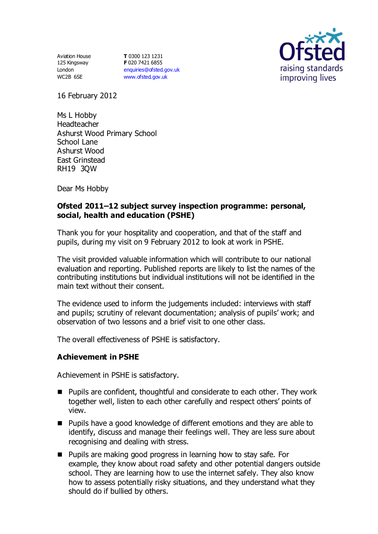Aviation House 125 Kingsway London WC2B 6SE

**T** 0300 123 1231 **F** 020 7421 6855 [enquiries@ofsted.gov.uk](mailto:enquiries@ofsted.gov.uk) [www.ofsted.gov.uk](http://www.ofsted.gov.uk/)



16 February 2012

Ms L Hobby Headteacher Ashurst Wood Primary School School Lane Ashurst Wood East Grinstead RH19 3QW

Dear Ms Hobby

# **Ofsted 2011–12 subject survey inspection programme: personal, social, health and education (PSHE)**

Thank you for your hospitality and cooperation, and that of the staff and pupils, during my visit on 9 February 2012 to look at work in PSHE.

The visit provided valuable information which will contribute to our national evaluation and reporting. Published reports are likely to list the names of the contributing institutions but individual institutions will not be identified in the main text without their consent.

The evidence used to inform the judgements included: interviews with staff and pupils; scrutiny of relevant documentation; analysis of pupils' work; and observation of two lessons and a brief visit to one other class.

The overall effectiveness of PSHE is satisfactory.

### **Achievement in PSHE**

Achievement in PSHE is satisfactory.

- Pupils are confident, thoughtful and considerate to each other. They work together well, listen to each other carefully and respect others' points of view.
- **Pupils have a good knowledge of different emotions and they are able to** identify, discuss and manage their feelings well. They are less sure about recognising and dealing with stress.
- **Pupils are making good progress in learning how to stay safe. For** example, they know about road safety and other potential dangers outside school. They are learning how to use the internet safely. They also know how to assess potentially risky situations, and they understand what they should do if bullied by others.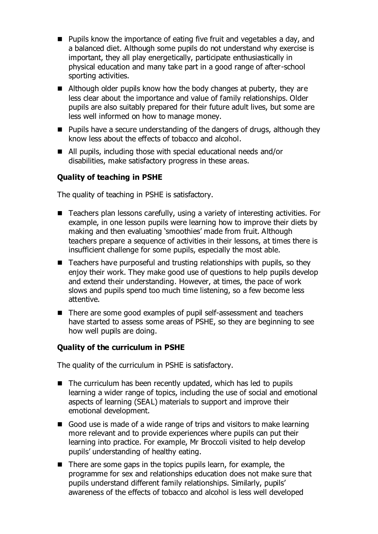- Pupils know the importance of eating five fruit and vegetables a day, and a balanced diet. Although some pupils do not understand why exercise is important, they all play energetically, participate enthusiastically in physical education and many take part in a good range of after-school sporting activities.
- Although older pupils know how the body changes at puberty, they are less clear about the importance and value of family relationships. Older pupils are also suitably prepared for their future adult lives, but some are less well informed on how to manage money.
- **Pupils have a secure understanding of the dangers of drugs, although they** know less about the effects of tobacco and alcohol.
- All pupils, including those with special educational needs and/or disabilities, make satisfactory progress in these areas.

# **Quality of teaching in PSHE**

The quality of teaching in PSHE is satisfactory.

- Teachers plan lessons carefully, using a variety of interesting activities. For example, in one lesson pupils were learning how to improve their diets by making and then evaluating 'smoothies' made from fruit. Although teachers prepare a sequence of activities in their lessons, at times there is insufficient challenge for some pupils, especially the most able.
- $\blacksquare$  Teachers have purposeful and trusting relationships with pupils, so they enjoy their work. They make good use of questions to help pupils develop and extend their understanding. However, at times, the pace of work slows and pupils spend too much time listening, so a few become less attentive.
- There are some good examples of pupil self-assessment and teachers have started to assess some areas of PSHE, so they are beginning to see how well pupils are doing.

### **Quality of the curriculum in PSHE**

The quality of the curriculum in PSHE is satisfactory.

- The curriculum has been recently updated, which has led to pupils learning a wider range of topics, including the use of social and emotional aspects of learning (SEAL) materials to support and improve their emotional development.
- Good use is made of a wide range of trips and visitors to make learning more relevant and to provide experiences where pupils can put their learning into practice. For example, Mr Broccoli visited to help develop pupils' understanding of healthy eating.
- There are some gaps in the topics pupils learn, for example, the programme for sex and relationships education does not make sure that pupils understand different family relationships. Similarly, pupils' awareness of the effects of tobacco and alcohol is less well developed